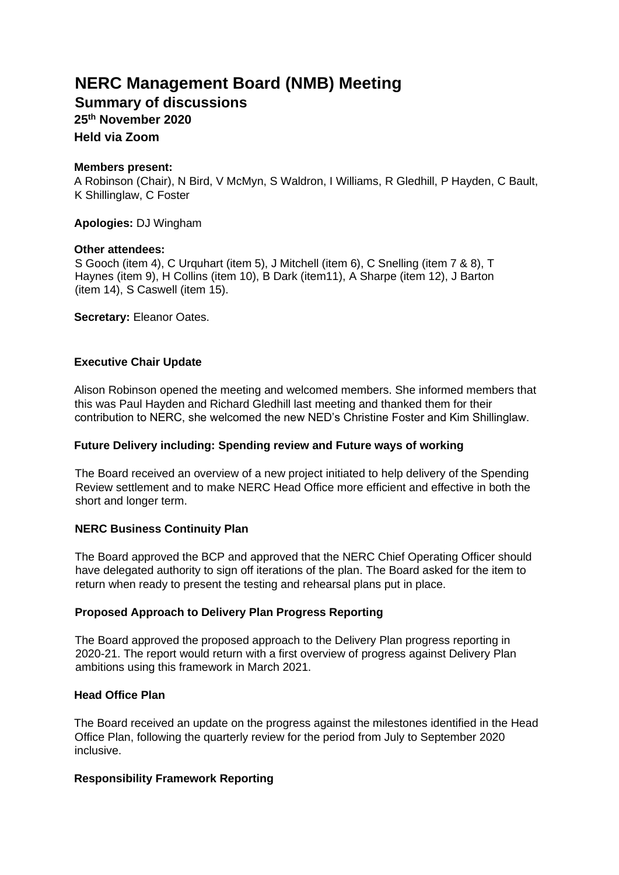# **NERC Management Board (NMB) Meeting**

**Summary of discussions** 

**25 th November 2020** 

**Held via Zoom** 

## **Members present:**

A Robinson (Chair), N Bird, V McMyn, S Waldron, I Williams, R Gledhill, P Hayden, C Bault, K Shillinglaw, C Foster

**Apologies:** DJ Wingham

## **Other attendees:**

S Gooch (item 4), C Urquhart (item 5), J Mitchell (item 6), C Snelling (item 7 & 8), T Haynes (item 9), H Collins (item 10), B Dark (item11), A Sharpe (item 12), J Barton (item 14), S Caswell (item 15).

**Secretary:** Eleanor Oates.

# **Executive Chair Update**

Alison Robinson opened the meeting and welcomed members. She informed members that this was Paul Hayden and Richard Gledhill last meeting and thanked them for their contribution to NERC, she welcomed the new NED's Christine Foster and Kim Shillinglaw.

# **Future Delivery including: Spending review and Future ways of working**

The Board received an overview of a new project initiated to help delivery of the Spending Review settlement and to make NERC Head Office more efficient and effective in both the short and longer term.

# **NERC Business Continuity Plan**

The Board approved the BCP and approved that the NERC Chief Operating Officer should have delegated authority to sign off iterations of the plan. The Board asked for the item to return when ready to present the testing and rehearsal plans put in place.

## **Proposed Approach to Delivery Plan Progress Reporting**

The Board approved the proposed approach to the Delivery Plan progress reporting in 2020-21. The report would return with a first overview of progress against Delivery Plan ambitions using this framework in March 2021.

## **Head Office Plan**

The Board received an update on the progress against the milestones identified in the Head Office Plan, following the quarterly review for the period from July to September 2020 inclusive.

# **Responsibility Framework Reporting**